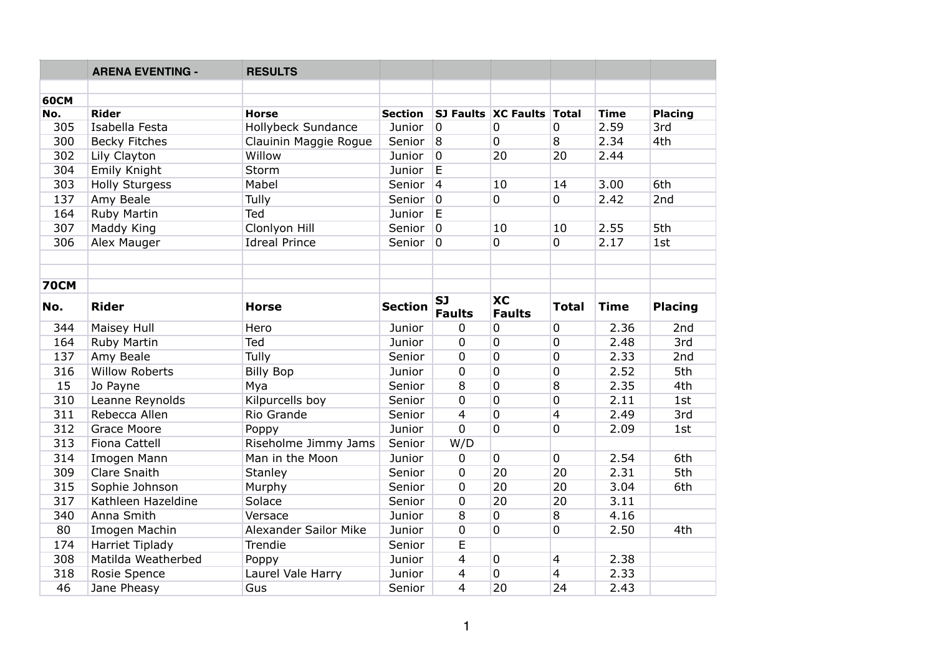|             | <b>ARENA EVENTING -</b> | <b>RESULTS</b>            |                |                            |                                |                |                     |                       |
|-------------|-------------------------|---------------------------|----------------|----------------------------|--------------------------------|----------------|---------------------|-----------------------|
|             |                         |                           |                |                            |                                |                |                     |                       |
| <b>60CM</b> | <b>Rider</b>            | <b>Horse</b>              | <b>Section</b> |                            |                                |                |                     |                       |
| No.<br>305  | Isabella Festa          | <b>Hollybeck Sundance</b> | Junior         | $\overline{0}$             | SJ Faults XC Faults Total<br>0 | $\mathbf 0$    | <b>Time</b><br>2.59 | <b>Placing</b><br>3rd |
| 300         | <b>Becky Fitches</b>    | Clauinin Maggie Rogue     | Senior         | 8                          | 0                              | 8              | 2.34                | 4th                   |
| 302         | Lily Clayton            | Willow                    | Junior         | $\overline{0}$             | 20                             | 20             | 2.44                |                       |
| 304         | Emily Knight            | Storm                     | Junior         | E                          |                                |                |                     |                       |
| 303         | <b>Holly Sturgess</b>   | Mabel                     | Senior         | $\overline{4}$             | 10                             | 14             | 3.00                | 6th                   |
| 137         |                         |                           |                | $\overline{0}$             | $\overline{0}$                 | $\overline{0}$ | 2.42                | 2nd                   |
|             | Amy Beale               | Tully                     | Senior         |                            |                                |                |                     |                       |
| 164         | Ruby Martin             | Ted                       | Junior         | $\mathsf E$                |                                |                |                     |                       |
| 307         | Maddy King              | Clonlyon Hill             | Senior         | $\overline{0}$             | 10                             | 10             | 2.55                | 5th                   |
| 306         | Alex Mauger             | <b>Idreal Prince</b>      | Senior         | $\overline{0}$             | 0                              | $\overline{0}$ | 2.17                | 1st                   |
|             |                         |                           |                |                            |                                |                |                     |                       |
|             |                         |                           |                |                            |                                |                |                     |                       |
| <b>70CM</b> |                         |                           |                |                            |                                |                |                     |                       |
| No.         | <b>Rider</b>            | <b>Horse</b>              | <b>Section</b> | <b>SJ</b><br><b>Faults</b> | <b>XC</b><br><b>Faults</b>     | <b>Total</b>   | <b>Time</b>         | <b>Placing</b>        |
| 344         | Maisey Hull             | Hero                      | Junior         | $\mathbf 0$                | 0                              | $\mathbf 0$    | 2.36                | 2nd                   |
| 164         | Ruby Martin             | Ted                       | Junior         | $\mathbf 0$                | 0                              | $\overline{0}$ | 2.48                | 3rd                   |
| 137         | Amy Beale               | Tully                     | Senior         | $\mathbf 0$                | $\mathbf 0$                    | 0              | 2.33                | 2nd                   |
| 316         | <b>Willow Roberts</b>   | <b>Billy Bop</b>          | Junior         | $\mathbf 0$                | $\overline{0}$                 | 0              | 2.52                | 5th                   |
| 15          | Jo Payne                | Mya                       | Senior         | 8                          | 0                              | 8              | 2.35                | 4th                   |
| 310         | Leanne Reynolds         | Kilpurcells boy           | Senior         | $\mathbf 0$                | 0                              | 0              | 2.11                | 1st                   |
| 311         | Rebecca Allen           | Rio Grande                | Senior         | 4                          | $\mathbf 0$                    | $\overline{4}$ | 2.49                | 3rd                   |
| 312         | Grace Moore             | Poppy                     | Junior         | $\overline{0}$             | $\overline{0}$                 | $\overline{0}$ | 2.09                | 1st                   |
| 313         | <b>Fiona Cattell</b>    | Riseholme Jimmy Jams      | Senior         | W/D                        |                                |                |                     |                       |
| 314         | Imogen Mann             | Man in the Moon           | Junior         | $\mathbf 0$                | 0                              | $\overline{0}$ | 2.54                | 6th                   |
| 309         | <b>Clare Snaith</b>     | Stanley                   | Senior         | 0                          | 20                             | 20             | 2.31                | 5th                   |
| 315         | Sophie Johnson          | Murphy                    | Senior         | $\overline{0}$             | 20                             | 20             | 3.04                | 6th                   |
| 317         | Kathleen Hazeldine      | Solace                    | Senior         | $\mathbf 0$                | 20                             | 20             | 3.11                |                       |
| 340         | Anna Smith              | Versace                   | Junior         | 8                          | 0                              | 8              | 4.16                |                       |
| 80          | Imogen Machin           | Alexander Sailor Mike     | Junior         | $\mathbf 0$                | 0                              | 0              | 2.50                | 4th                   |
| 174         | <b>Harriet Tiplady</b>  | Trendie                   | Senior         | E                          |                                |                |                     |                       |
| 308         | Matilda Weatherbed      | Poppy                     | Junior         | 4                          | 0                              | $\overline{4}$ | 2.38                |                       |
| 318         | Rosie Spence            | Laurel Vale Harry         | Junior         | 4                          | 0                              | $\overline{4}$ | 2.33                |                       |
| 46          | Jane Pheasy             | Gus                       | Senior         | $\overline{4}$             | $\overline{20}$                | 24             | 2.43                |                       |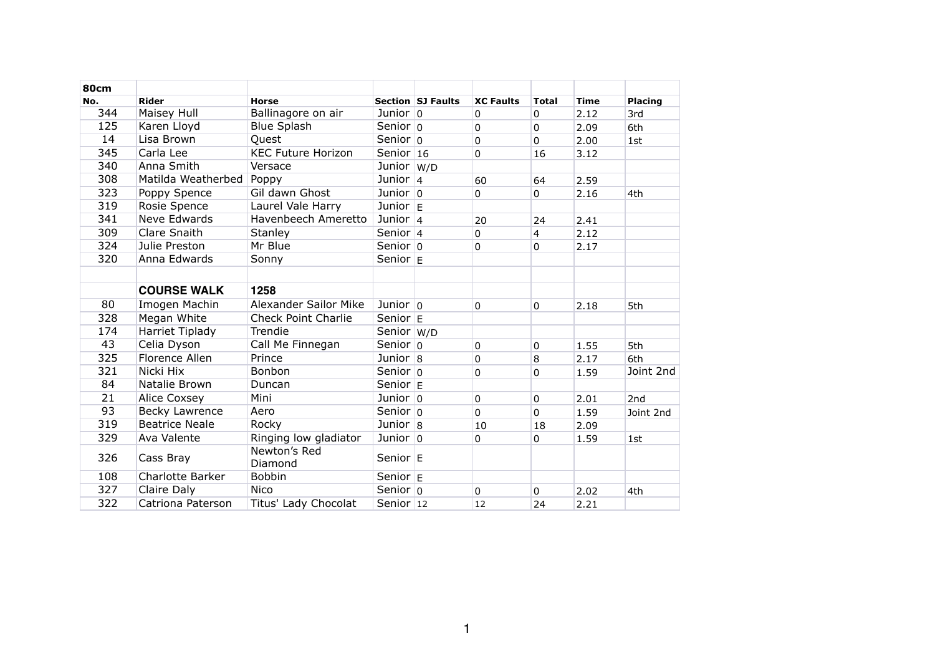| <b>80cm</b> |                         |                            |                    |                   |                  |                |             |                |
|-------------|-------------------------|----------------------------|--------------------|-------------------|------------------|----------------|-------------|----------------|
| No.         | <b>Rider</b>            | <b>Horse</b>               |                    | Section SJ Faults | <b>XC Faults</b> | <b>Total</b>   | <b>Time</b> | <b>Placing</b> |
| 344         | Maisey Hull             | Ballinagore on air         | Junior $ 0$        |                   | $\overline{0}$   | $\overline{0}$ | 2.12        | 3rd            |
| 125         | Karen Lloyd             | <b>Blue Splash</b>         | Senior $ 0$        |                   | $\overline{0}$   | $\overline{0}$ | 2.09        | 6th            |
| 14          | Lisa Brown              | Quest                      | Senior $ 0 $       |                   | $\overline{0}$   | $\overline{0}$ | 2.00        | 1st            |
| 345         | Carla Lee               | <b>KEC Future Horizon</b>  | Senior $16$        |                   | $\mathbf 0$      | 16             | 3.12        |                |
| 340         | Anna Smith              | Versace                    | Junior W/D         |                   |                  |                |             |                |
| 308         | Matilda Weatherbed      | Poppy                      | Junior $ 4 $       |                   | 60               | 64             | 2.59        |                |
| 323         | Poppy Spence            | Gil dawn Ghost             | Junior $ 0 $       |                   | $\overline{0}$   | $\mathbf 0$    | 2.16        | 4th            |
| 319         | Rosie Spence            | Laurel Vale Harry          | Junior $E$         |                   |                  |                |             |                |
| 341         | Neve Edwards            | Havenbeech Ameretto        | Junior $ 4$        |                   | 20               | 24             | 2.41        |                |
| 309         | <b>Clare Snaith</b>     | <b>Stanley</b>             | Senior $ 4 $       |                   | $\overline{0}$   | $\overline{4}$ | 2.12        |                |
| 324         | Julie Preston           | Mr Blue                    | Senior $ 0 $       |                   | $\mathbf 0$      | 0              | 2.17        |                |
| 320         | Anna Edwards            | Sonny                      | Senior $E$         |                   |                  |                |             |                |
|             |                         |                            |                    |                   |                  |                |             |                |
|             | <b>COURSE WALK</b>      | 1258                       |                    |                   |                  |                |             |                |
| 80          | Imogen Machin           | Alexander Sailor Mike      | Junior $ 0\rangle$ |                   | $\overline{0}$   | $\overline{0}$ | 2.18        | 5th            |
| 328         | Megan White             | <b>Check Point Charlie</b> | Senior $ E $       |                   |                  |                |             |                |
| 174         | <b>Harriet Tiplady</b>  | Trendie                    | Senior W/D         |                   |                  |                |             |                |
| 43          | Celia Dyson             | Call Me Finnegan           | Senior $ 0$        |                   | $\overline{0}$   | $\overline{0}$ | 1.55        | 5th            |
| 325         | Florence Allen          | Prince                     | Junior $ 8 $       |                   | $\overline{0}$   | 8              | 2.17        | 6th            |
| 321         | Nicki Hix               | Bonbon                     | Senior $ 0$        |                   | $\overline{0}$   | 0              | 1.59        | Joint 2nd      |
| 84          | Natalie Brown           | Duncan                     | Senior $E$         |                   |                  |                |             |                |
| 21          | <b>Alice Coxsey</b>     | Mini                       | Junior $ 0\rangle$ |                   | $\overline{0}$   | $\overline{0}$ | 2.01        | 2nd            |
| 93          | Becky Lawrence          | Aero                       | Senior $ 0$        |                   | $\overline{0}$   | $\overline{0}$ | 1.59        | Joint 2nd      |
| 319         | <b>Beatrice Neale</b>   | Rocky                      | Junior $ 8$        |                   | 10               | 18             | 2.09        |                |
| 329         | Ava Valente             | Ringing low gladiator      | Junior $ 0$        |                   | $\mathbf 0$      | $\mathbf 0$    | 1.59        | 1st            |
| 326         | Cass Bray               | Newton's Red<br>Diamond    | Senior E           |                   |                  |                |             |                |
| 108         | <b>Charlotte Barker</b> | <b>Bobbin</b>              | Senior $E$         |                   |                  |                |             |                |
| 327         | Claire Daly             | <b>Nico</b>                | Senior $ 0 $       |                   | $\overline{0}$   | $\mathbf 0$    | 2.02        | 4th            |
| 322         | Catriona Paterson       | Titus' Lady Chocolat       | Senior $12$        |                   | 12               | 24             | 2.21        |                |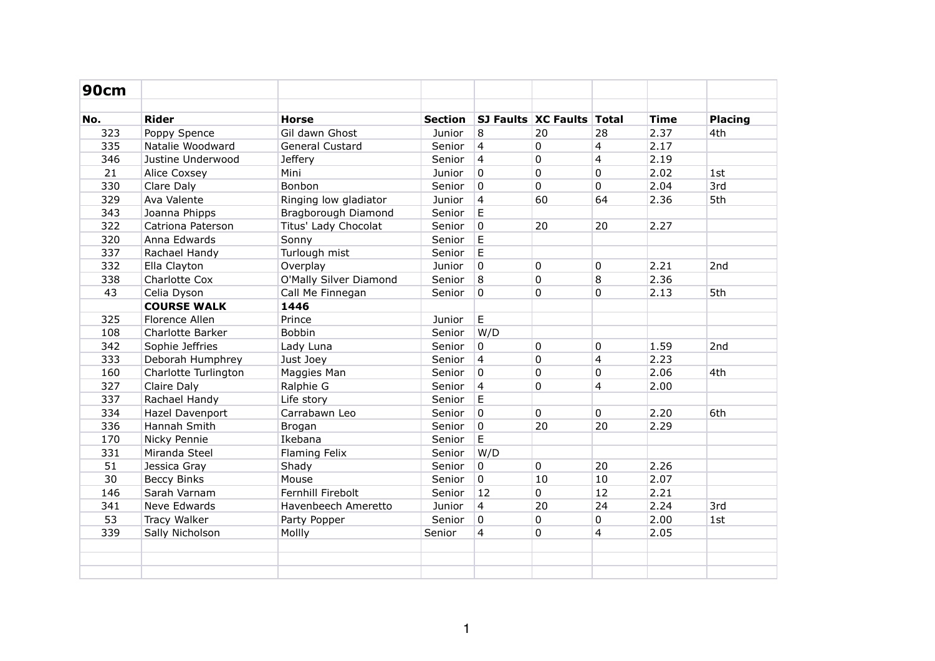| <b>90cm</b> |                      |                        |                |                |                                  |                |             |                |
|-------------|----------------------|------------------------|----------------|----------------|----------------------------------|----------------|-------------|----------------|
| No.         | <b>Rider</b>         | <b>Horse</b>           | <b>Section</b> |                | <b>SJ Faults XC Faults Total</b> |                | <b>Time</b> | <b>Placing</b> |
| 323         | Poppy Spence         | Gil dawn Ghost         | Junior         | 8              | 20                               | 28             | 2.37        | 4th            |
| 335         | Natalie Woodward     | General Custard        | Senior         | $\overline{4}$ | $\mathbf 0$                      | 4              | 2.17        |                |
| 346         | Justine Underwood    | <b>Jeffery</b>         | Senior         | $\overline{4}$ | 0                                | $\overline{4}$ | 2.19        |                |
| 21          | Alice Coxsey         | Mini                   | Junior         | $\mathbf 0$    | $\mathbf 0$                      | 0              | 2.02        | 1st            |
| 330         | Clare Daly           | Bonbon                 | Senior         | $\mathbf 0$    | $\mathbf 0$                      | 0              | 2.04        | 3rd            |
| 329         | Ava Valente          | Ringing low gladiator  | Junior         | $\overline{4}$ | 60                               | 64             | 2.36        | 5th            |
| 343         | Joanna Phipps        | Bragborough Diamond    | Senior         | $\mathsf E$    |                                  |                |             |                |
| 322         | Catriona Paterson    | Titus' Lady Chocolat   | Senior         | $\overline{0}$ | 20                               | 20             | 2.27        |                |
| 320         | Anna Edwards         | Sonny                  | Senior         | $\mathsf E$    |                                  |                |             |                |
| 337         | Rachael Handy        | Turlough mist          | Senior         | $\mathsf E$    |                                  |                |             |                |
| 332         | Ella Clayton         | Overplay               | Junior         | $\mathbf 0$    | $\mathbf 0$                      | $\Omega$       | 2.21        | 2nd            |
| 338         | Charlotte Cox        | O'Mally Silver Diamond | Senior         | $\overline{8}$ | $\mathbf 0$                      | 8              | 2.36        |                |
| 43          | Celia Dyson          | Call Me Finnegan       | Senior         | $\mathbf 0$    | $\mathbf 0$                      | 0              | 2.13        | 5th            |
|             | <b>COURSE WALK</b>   | 1446                   |                |                |                                  |                |             |                |
| 325         | Florence Allen       | Prince                 | Junior         | E              |                                  |                |             |                |
| 108         | Charlotte Barker     | Bobbin                 | Senior         | W/D            |                                  |                |             |                |
| 342         | Sophie Jeffries      | Lady Luna              | Senior         | 0              | $\pmb{0}$                        | 0              | 1.59        | 2nd            |
| 333         | Deborah Humphrey     | Just Joey              | Senior         | $\overline{4}$ | 0                                | 4              | 2.23        |                |
| 160         | Charlotte Turlington | Maggies Man            | Senior         | $\overline{0}$ | 0                                | 0              | 2.06        | 4th            |
| 327         | Claire Daly          | Ralphie G              | Senior         | $\overline{4}$ | $\mathbf 0$                      | $\overline{4}$ | 2.00        |                |
| 337         | Rachael Handy        | Life story             | Senior         | $\mathsf E$    |                                  |                |             |                |
| 334         | Hazel Davenport      | Carrabawn Leo          | Senior         | $\overline{0}$ | $\mathbf 0$                      | 0              | 2.20        | 6th            |
| 336         | Hannah Smith         | Brogan                 | Senior         | $\overline{0}$ | 20                               | 20             | 2.29        |                |
| 170         | Nicky Pennie         | Ikebana                | Senior         | $\mathsf E$    |                                  |                |             |                |
| 331         | Miranda Steel        | Flaming Felix          | Senior         | W/D            |                                  |                |             |                |
| 51          | Jessica Gray         | Shady                  | Senior         | $\overline{0}$ | $\mathbf 0$                      | 20             | 2.26        |                |
| 30          | <b>Beccy Binks</b>   | Mouse                  | Senior         | $\overline{0}$ | 10                               | 10             | 2.07        |                |
| 146         | Sarah Varnam         | Fernhill Firebolt      | Senior         | 12             | $\mathbf 0$                      | 12             | 2.21        |                |
| 341         | Neve Edwards         | Havenbeech Ameretto    | Junior         | $\overline{4}$ | 20                               | 24             | 2.24        | 3rd            |
| 53          | Tracy Walker         | Party Popper           | Senior         | $\overline{0}$ | $\mathbf 0$                      | $\mathbf 0$    | 2.00        | 1st            |
| 339         | Sally Nicholson      | Mollly                 | Senior         | $\overline{4}$ | $\mathbf 0$                      | $\overline{4}$ | 2.05        |                |
|             |                      |                        |                |                |                                  |                |             |                |
|             |                      |                        |                |                |                                  |                |             |                |
|             |                      |                        |                |                |                                  |                |             |                |